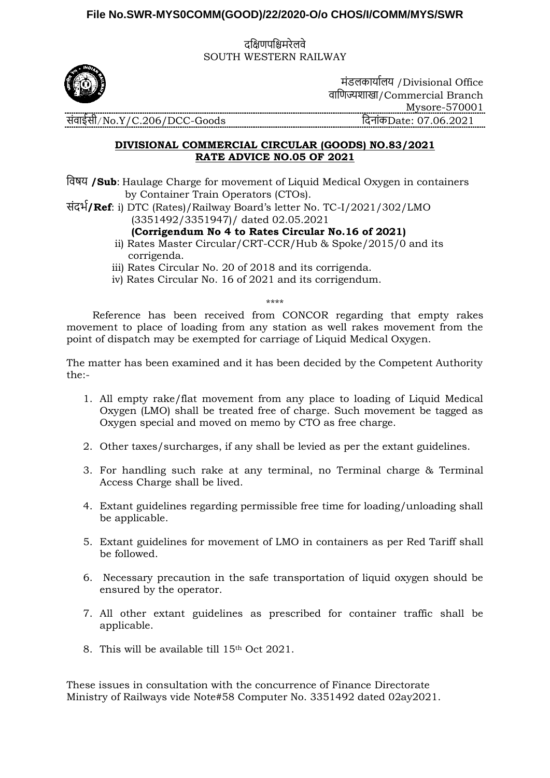## **File No.SWR-MYS0COMM(GOOD)/22/2020-O/o CHOS/I/COMM/MYS/SWR**

दक्षिणपक्षिमरेलवे SOUTH WESTERN RAILWAY



मंडलकार्ाालर् /Divisional Office वाक्षणज्यशाखा/Commercial Branch Mysore-570001 संवाईसी/No.Y/C.206/DCC-Goods क्षदनांकDate: 07.06.2021

## **DIVISIONAL COMMERCIAL CIRCULAR (GOODS) NO.83/2021 RATE ADVICE NO.05 OF 2021**

क्षवषर् **/Sub**: Haulage Charge for movement of Liquid Medical Oxygen in containers by Container Train Operators (CTOs).

संदर्ा**/Ref**: i) DTC (Rates)/Railway Board's letter No. TC-I/2021/302/LMO (3351492/3351947)/ dated 02.05.2021

## **(Corrigendum No 4 to Rates Circular No.16 of 2021)**

- ii) Rates Master Circular/CRT-CCR/Hub & Spoke/2015/0 and its corrigenda.
- iii) Rates Circular No. 20 of 2018 and its corrigenda.
- iv) Rates Circular No. 16 of 2021 and its corrigendum.

\*\*\*\*

 Reference has been received from CONCOR regarding that empty rakes movement to place of loading from any station as well rakes movement from the point of dispatch may be exempted for carriage of Liquid Medical Oxygen.

The matter has been examined and it has been decided by the Competent Authority the:-

- 1. All empty rake/flat movement from any place to loading of Liquid Medical Oxygen (LMO) shall be treated free of charge. Such movement be tagged as Oxygen special and moved on memo by CTO as free charge.
- 2. Other taxes/surcharges, if any shall be levied as per the extant guidelines.
- 3. For handling such rake at any terminal, no Terminal charge & Terminal Access Charge shall be lived.
- 4. Extant guidelines regarding permissible free time for loading/unloading shall be applicable.
- 5. Extant guidelines for movement of LMO in containers as per Red Tariff shall be followed.
- 6. Necessary precaution in the safe transportation of liquid oxygen should be ensured by the operator.
- 7. All other extant guidelines as prescribed for container traffic shall be applicable.
- 8. This will be available till 15th Oct 2021.

These issues in consultation with the concurrence of Finance Directorate Ministry of Railways vide Note#58 Computer No. 3351492 dated 02ay2021.